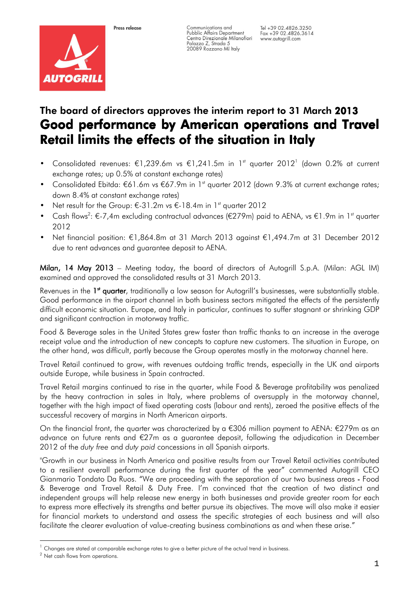

Communications and Pubblic Affairs Department<br>Centro Direzionale Milanofiori Ceniro Direzionale Milar<br>Palazzo Z, Strada 5<br>20089 Rozzano MI Italy

# The board of directors approves the interim report to 31 March 2013 Good performance by American operations and Travel Retail limits the effects of the situation in Italy

- Consolidated revenues: €1,239.6m vs €1,241.5m in 1<sup>st</sup> quarter 2012<sup>1</sup> (down 0.2% at current exchange rates; up 0.5% at constant exchange rates)
- Consolidated Ebitda: €61.6m vs €67.9m in 1<sup>st</sup> quarter 2012 (down 9.3% at current exchange rates; down 8.4% at constant exchange rates)
- Net result for the Group: €-31.2m vs €-18.4m in 1<sup>st</sup> quarter 2012
- Cash flows<sup>2</sup>: €-7,4m excluding contractual advances (€279m) paid to AENA, vs €1.9m in 1<sup>st</sup> quarter 2012
- Net financial position: €1,864.8m at 31 March 2013 against €1,494.7m at 31 December 2012 due to rent advances and guarantee deposit to AENA.

Milan, 14 May 2013 – Meeting today, the board of directors of Autogrill S.p.A. (Milan: AGL IM) examined and approved the consolidated results at 31 March 2013.

Revenues in the 1<sup>st</sup> quarter, traditionally a low season for Autogrill's businesses, were substantially stable. Good performance in the airport channel in both business sectors mitigated the effects of the persistently difficult economic situation. Europe, and Italy in particular, continues to suffer stagnant or shrinking GDP and significant contraction in motorway traffic.

Food & Beverage sales in the United States grew faster than traffic thanks to an increase in the average receipt value and the introduction of new concepts to capture new customers. The situation in Europe, on the other hand, was difficult, partly because the Group operates mostly in the motorway channel here.

Travel Retail continued to grow, with revenues outdoing traffic trends, especially in the UK and airports outside Europe, while business in Spain contracted.

Travel Retail margins continued to rise in the quarter, while Food & Beverage profitability was penalized by the heavy contraction in sales in Italy, where problems of oversupply in the motorway channel, together with the high impact of fixed operating costs (labour and rents), zeroed the positive effects of the successful recovery of margins in North American airports.

On the financial front, the quarter was characterized by a  $\epsilon$ 306 million payment to AENA:  $\epsilon$ 279m as an advance on future rents and €27m as a guarantee deposit, following the adjudication in December 2012 of the duty free and duty paid concessions in all Spanish airports.

"Growth in our business in North America and positive results from our Travel Retail activities contributed to a resilient overall performance during the first quarter of the year" commented Autogrill CEO Gianmario Tondato Da Ruos. "We are proceeding with the separation of our two business areas -Food & Beverage and Travel Retail & Duty Free. I'm convinced that the creation of two distinct and independent groups will help release new energy in both businesses and provide greater room for each to express more effectively its strengths and better pursue its objectives. The move will also make it easier for financial markets to understand and assess the specific strategies of each business and will also facilitate the clearer evaluation of value-creating business combinations as and when these arise."

i <sup>1</sup> Changes are stated at comparable exchange rates to give a better picture of the actual trend in business.

<sup>2</sup> Net cash flows from operations.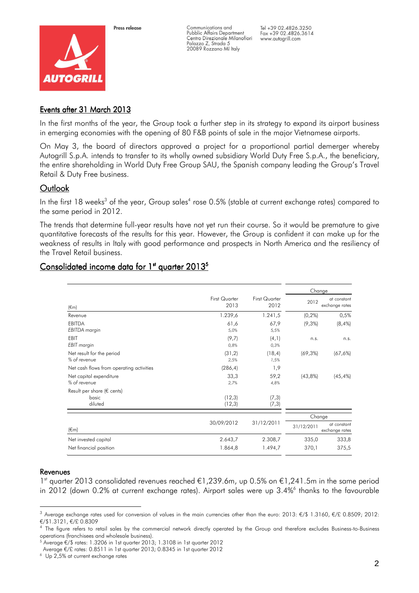

Press release

Communications and Pubblic Affairs Department Centro Direzionale Milanofiori Palazzo Z, Strada 5 20089 Rozzano MI Italy

Tel +39 02.4826.3250 Fax +39 02.4826.3614 www.autogrill.com

# Events after 31 March 2013

In the first months of the year, the Group took a further step in its strategy to expand its airport business in emerging economies with the opening of 80 F&B points of sale in the major Vietnamese airports.

On May 3, the board of directors approved a project for a proportional partial demerger whereby Autogrill S.p.A. intends to transfer to its wholly owned subsidiary World Duty Free S.p.A., the beneficiary, the entire shareholding in World Duty Free Group SAU, the Spanish company leading the Group's Travel Retail & Duty Free business.

# **Outlook**

In the first 18 weeks $^3$  of the year, Group sales $^4$  rose 0.5% (stable at current exchange rates) compared to the same period in 2012.

The trends that determine full-year results have not yet run their course. So it would be premature to give quantitative forecasts of the results for this year. However, the Group is confident it can make up for the weakness of results in Italy with good performance and prospects in North America and the resiliency of the Travel Retail business.

|                                                          |                       |                       |            | Change                        |
|----------------------------------------------------------|-----------------------|-----------------------|------------|-------------------------------|
| $(\epsilon m)$                                           | First Quarter<br>2013 | First Quarter<br>2012 | 2012       | at constant<br>exchange rates |
| Revenue                                                  | 1.239,6               | 1.241,5               | $(0, 2\%)$ | 0,5%                          |
| <b>EBITDA</b><br><b>EBITDA</b> margin                    | 61,6<br>5,0%          | 67,9<br>5,5%          | $(9,3\%)$  | $(8, 4\%)$                    |
| <b>EBIT</b><br><b>EBIT</b> margin                        | (9,7)<br>0.8%         | (4,1)<br>0,3%         | n.s.       | n.s.                          |
| Net result for the period<br>% of revenue                | (31,2)<br>2,5%        | (18, 4)<br>1,5%       | (69,3%)    | $(67, 6\%)$                   |
| Net cash flows from operating activities                 | (286, 4)              | 1,9                   |            |                               |
| Net capital expenditure<br>% of revenue                  | 33,3<br>2,7%          | 59,2<br>4,8%          | (43,8%)    | $(45, 4\%)$                   |
| Result per share ( $\epsilon$ cents)<br>basic<br>diluted | (12,3)<br>(12,3)      | (7,3)<br>(7,3)        |            |                               |
|                                                          |                       |                       |            | Change                        |
| $(\epsilon m)$                                           | 30/09/2012            | 31/12/2011            | 31/12/2011 | at constant<br>exchange rates |
| Net invested capital                                     | 2.643,7               | 2.308,7               | 335,0      | 333,8                         |
| Net financial position                                   | 1.864,8               | 1.494,7               | 370,1      | 375,5                         |
|                                                          |                       |                       |            |                               |

# Consolidated income data for 1st quarter 2013<sup>5</sup>

#### Revenues

1<sup>st</sup> quarter 2013 consolidated revenues reached €1,239.6m, up 0.5% on €1,241.5m in the same period in 2012 (down 0.2% at current exchange rates). Airport sales were up 3.4%<sup>6</sup> thanks to the favourable

i <sup>3</sup> Average exchange rates used for conversion of values in the main currencies other than the euro: 2013: €/\$ 1.3160, €/£ 0.8509; 2012: €/\$1.3121, €/£ 0.8309

<sup>&</sup>lt;sup>4</sup> The figure refers to retail sales by the commercial network directly operated by the Group and therefore excludes Business-to-Business operations (franchisees and wholesale business).

 $^5$  Average  $\epsilon$ /\$ rates: 1.3206 in 1st quarter 2013; 1.3108 in 1st quarter 2012

Average €/£ rates: 0.8511 in 1st quarter 2013; 0.8345 in 1st quarter 2012

<sup>6</sup> Up 2,5% at current exchange rates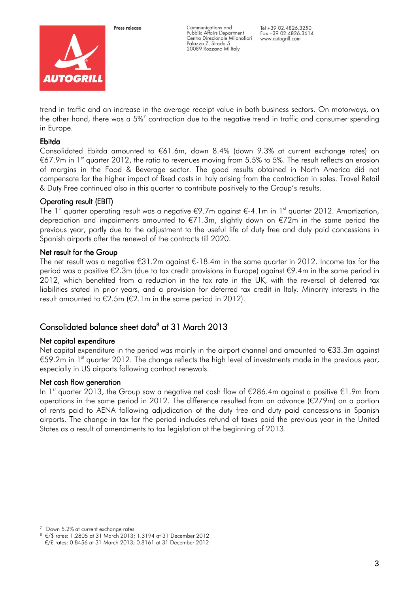

Press release

Communications and Pubblic Affairs Department Centro Direzionale Milanofiori Palazzo Z, Strada 5 20089 Rozzano MI Italy

Tel +39 02.4826.3250 Fax +39 02.4826.3614 www.autogrill.com

trend in traffic and an increase in the average receipt value in both business sectors. On motorways, on the other hand, there was a 5% $^7$  contraction due to the negative trend in traffic and consumer spending in Europe.

## Ebitda

Consolidated Ebitda amounted to €61.6m, down 8.4% (down 9.3% at current exchange rates) on €67.9m in 1<sup>st</sup> quarter 2012, the ratio to revenues moving from 5.5% to 5%. The result reflects an erosion of margins in the Food & Beverage sector. The good results obtained in North America did not compensate for the higher impact of fixed costs in Italy arising from the contraction in sales. Travel Retail & Duty Free continued also in this quarter to contribute positively to the Group's results.

# Operating result (EBIT)

The 1<sup>st</sup> quarter operating result was a negative  $\epsilon$ 9.7m against  $\epsilon$ -4.1m in 1<sup>st</sup> quarter 2012. Amortization, depreciation and impairments amounted to €71.3m, slightly down on €72m in the same period the previous year, partly due to the adjustment to the useful life of duty free and duty paid concessions in Spanish airports after the renewal of the contracts till 2020.

## Net result for the Group

The net result was a negative €31.2m against €-18.4m in the same quarter in 2012. Income tax for the period was a positive €2.3m (due to tax credit provisions in Europe) against €9.4m in the same period in 2012, which benefited from a reduction in the tax rate in the UK, with the reversal of deferred tax liabilities stated in prior years, and a provision for deferred tax credit in Italy. Minority interests in the result amounted to €2.5m (€2.1m in the same period in 2012).

# <u>Consolidated balance sheet data<sup>8</sup> at 31 March 2013</u>

## Net capital expenditure

Net capital expenditure in the period was mainly in the airport channel and amounted to €33.3m against €59.2m in 1<sup>st</sup> quarter 2012. The change reflects the high level of investments made in the previous year, especially in US airports following contract renewals.

## Net cash flow generation

In 1<sup>st</sup> quarter 2013, the Group saw a negative net cash flow of €286.4m against a positive €1.9m from operations in the same period in 2012. The difference resulted from an advance (€279m) on a portion of rents paid to AENA following adjudication of the duty free and duty paid concessions in Spanish airports. The change in tax for the period includes refund of taxes paid the previous year in the United States as a result of amendments to tax legislation at the beginning of 2013.

i Down 5.2% at current exchange rates

<sup>8</sup> €/\$ rates: 1.2805 at 31 March 2013; 1.3194 at 31 December 2012 €/£ rates: 0.8456 at 31 March 2013; 0.8161 at 31 December 2012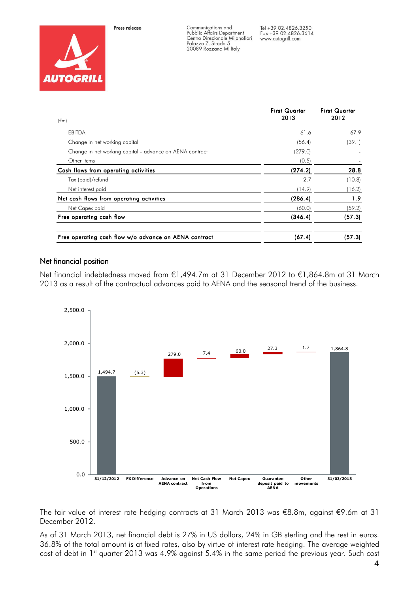



Communications and Pubblic Affairs Department<br>Centro Direzionale Milanofiori Ceniro Direzionale Milar<br>Palazzo Z, Strada 5<br>20089 Rozzano MI Italy

Tel +39 02.4826.3250 Fax +39 02.4826.3614 www.autogrill.com

| $(\epsilon m)$                                           | <b>First Quarter</b><br>2013 | <b>First Quarter</b><br>2012 |
|----------------------------------------------------------|------------------------------|------------------------------|
| <b>EBITDA</b>                                            | 61.6                         | 67.9                         |
| Change in net working capital                            | (56.4)                       | (39.1)                       |
| Change in net working capital - advance on AENA contract | (279.0)                      |                              |
| Other items                                              | (0.5)                        |                              |
| Cash flows from operating activities                     | (274.2)                      | 28.8                         |
| Tax (paid)/refund                                        | 2.7                          | (10.8)                       |
| Net interest paid                                        | (14.9)                       | (16.2)                       |
| Net cash flows from operating activities                 | (286.4)                      | 1.9                          |
| Net Capex paid                                           | (60.0)                       | (59.2)                       |
| Free operating cash flow                                 | (346.4)                      | (57.3)                       |
| Free operating cash flow w/o advance on AENA contract    | (67.4)                       | (57.3)                       |

## Net financial position

Net financial indebtedness moved from €1,494.7m at 31 December 2012 to €1,864.8m at 31 March 2013 as a result of the contractual advances paid to AENA and the seasonal trend of the business.



The fair value of interest rate hedging contracts at 31 March 2013 was €8.8m, against €9.6m at 31 December 2012.

As of 31 March 2013, net financial debt is 27% in US dollars, 24% in GB sterling and the rest in euros. 36.8% of the total amount is at fixed rates, also by virtue of interest rate hedging. The average weighted cost of debt in 1<sup>st</sup> quarter 2013 was 4.9% against 5.4% in the same period the previous year. Such cost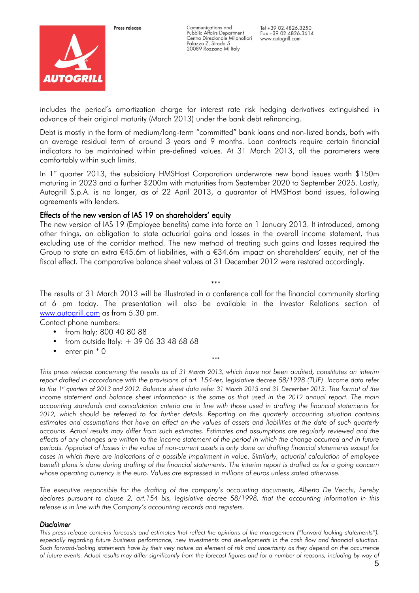

Communications and Pubblic Affairs Department Centro Direzionale Milanofiori Palazzo Z, Strada 5 20089 Rozzano MI Italy

includes the period's amortization charge for interest rate risk hedging derivatives extinguished in advance of their original maturity (March 2013) under the bank debt refinancing.

Debt is mostly in the form of medium/long-term "committed" bank loans and non-listed bonds, both with an average residual term of around 3 years and 9 months. Loan contracts require certain financial indicators to be maintained within pre-defined values. At 31 March 2013, all the parameters were comfortably within such limits.

In  $1<sup>st</sup>$  quarter 2013, the subsidiary HMSHost Corporation underwrote new bond issues worth \$150m maturing in 2023 and a further \$200m with maturities from September 2020 to September 2025. Lastly, Autogrill S.p.A. is no longer, as of 22 April 2013, a guarantor of HMSHost bond issues, following agreements with lenders.

## Effects of the new version of IAS 19 on shareholders' equity

The new version of IAS 19 (Employee benefits) came into force on 1 January 2013. It introduced, among other things, an obligation to state actuarial gains and losses in the overall income statement, thus excluding use of the corridor method. The new method of treating such gains and losses required the Group to state an extra  $\epsilon$ 45.6m of liabilities, with a  $\epsilon$ 34.6m impact on shareholders' equity, net of the fiscal effect. The comparative balance sheet values at 31 December 2012 were restated accordingly.

\*\*\* The results at 31 March 2013 will be illustrated in a conference call for the financial community starting at 6 pm today. The presentation will also be available in the Investor Relations section of www.autogrill.com as from 5.30 pm.

Contact phone numbers:

- from Italy: 800 40 80 88
- from outside Italy:  $+390633486868$
- enter pin  $*$  0

This press release concerning the results as of 31 March 2013, which have not been audited, constitutes an interim report drafted in accordance with the provisions of art. 154-ter, legislative decree 58/1998 (TUF). Income data refer to the 1 st quarters of 2013 and 2012. Balance sheet data refer 31 March 2013 and 31 December 2013. The format of the income statement and balance sheet information is the same as that used in the 2012 annual report. The main accounting standards and consolidation criteria are in line with those used in drafting the financial statements for 2012, which should be referred to for further details. Reporting on the quarterly accounting situation contains estimates and assumptions that have an effect on the values of assets and liabilities at the date of such quarterly accounts. Actual results may differ from such estimates. Estimates and assumptions are regularly reviewed and the effects of any changes are written to the income statement of the period in which the change occurred and in future periods. Appraisal of losses in the value of non-current assets is only done on drafting financial statements except for cases in which there are indications of a possible impairment in value. Similarly, actuarial calculation of employee benefit plans is done during drafting of the financial statements. The interim report is drafted as for a going concern whose operating currency is the euro. Values are expressed in millions of euros unless stated otherwise.

\*\*\*

The executive responsible for the drafting of the company's accounting documents, Alberto De Vecchi, hereby declares pursuant to clause 2, art.154 bis, legislative decree 58/1998, that the accounting information in this release is in line with the Company's accounting records and registers.

#### **Disclaimer**

This press release contains forecasts and estimates that reflect the opinions of the management ("forward-looking statements"), especially regarding future business performance, new investments and developments in the cash flow and financial situation. Such forward-looking statements have by their very nature an element of risk and uncertainty as they depend on the occurrence of future events. Actual results may differ significantly from the forecast figures and for a number of reasons, including by way of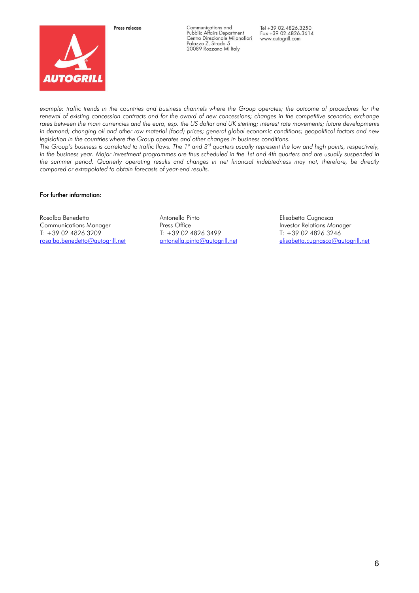



Communications and Pubblic Affairs Department<br>Centro Direzionale Milanofiori Ceniro Direzionale Milar<br>Palazzo Z, Strada 5<br>20089 Rozzano MI Italy

Tel +39 02.4826.3250 Fax +39 02.4826.3614 www.autogrill.com

example: traffic trends in the countries and business channels where the Group operates; the outcome of procedures for the renewal of existing concession contracts and for the award of new concessions; changes in the competitive scenario; exchange rates between the main currencies and the euro, esp. the US dollar and UK sterling; interest rate movements; future developments in demand; changing oil and other raw material (food) prices; general global economic conditions; geopolitical factors and new legislation in the countries where the Group operates and other changes in business conditions.

The Group's business is correlated to traffic flows. The 1st and 3rd quarters usually represent the low and high points, respectively, in the business year. Major investment programmes are thus scheduled in the 1st and 4th quarters and are usually suspended in the summer period. Quarterly operating results and changes in net financial indebtedness may not, therefore, be directly compared or extrapolated to obtain forecasts of year-end results.

#### For further information:

Rosalba Benedetto Communications Manager T: +39 02 4826 3209 rosalba.benedetto@autogrill.net Antonella Pinto Press Office T: +39 02 4826 3499 antonella.pinto@autogrill.net Elisabetta Cugnasca Investor Relations Manager T: +39 02 4826 3246 elisabetta.cugnasca@autogrill.net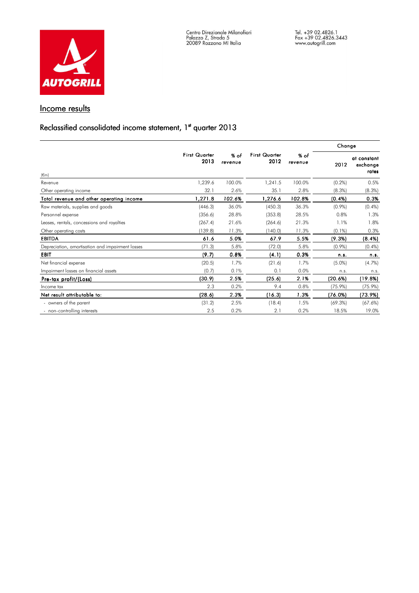

# Income results

# Reclassified consolidated income statement, 1st quarter 2013

|                                                  |                              |                   |                              |                 | Change     |                                  |
|--------------------------------------------------|------------------------------|-------------------|------------------------------|-----------------|------------|----------------------------------|
| $(\epsilon m)$                                   | <b>First Quarter</b><br>2013 | $%$ of<br>revenue | <b>First Quarter</b><br>2012 | % of<br>revenue | 2012       | at constant<br>exchange<br>rates |
| Revenue                                          | 1,239.6                      | 100.0%            | 1,241.5                      | 100.0%          | $(0.2\%)$  | 0.5%                             |
| Other operating income                           | 32.1                         | 2.6%              | 35.1                         | 2.8%            | (8.3%)     | (8.3%)                           |
| Total revenue and other operating income         | 1,271.8                      | 102.6%            | 1,276.6                      | 102.8%          | (0.4% )    | 0.3%                             |
| Raw materials, supplies and goods                | (446.3)                      | 36.0%             | (450.3)                      | 36.3%           | $(0.9\%)$  | $(0.4\%)$                        |
| Personnel expense                                | (356.6)                      | 28.8%             | (353.8)                      | 28.5%           | 0.8%       | 1.3%                             |
| Leases, rentals, concessions and royalties       | (267.4)                      | 21.6%             | (264.6)                      | 21.3%           | 1.1%       | 1.8%                             |
| Other operating costs                            | (139.8)                      | 11.3%             | (140.0)                      | 11.3%           | $(0.1\%)$  | 0.3%                             |
| <b>EBITDA</b>                                    | 61.6                         | 5.0%              | 67.9                         | 5.5%            | (9.3%)     | (8.4%)                           |
| Depreciation, amortisation and impairment losses | (71.3)                       | 5.8%              | (72.0)                       | 5.8%            | $(0.9\%)$  | (0.4%                            |
| <b>EBIT</b>                                      | (9.7)                        | 0.8%              | (4.1)                        | 0.3%            | n.s.       | n.s.                             |
| Net financial expense                            | (20.5)                       | 1.7%              | (21.6)                       | 1.7%            | $(5.0\%)$  | (4.7%)                           |
| Impairment losses on financial assets            | (0.7)                        | 0.1%              | 0.1                          | 0.0%            | n.s.       | n.s.                             |
| Pre-tax profit/(Loss)                            | (30.9)                       | 2.5%              | (25.6)                       | 2.1%            | (20.6%)    | (19.8%)                          |
| Income tax                                       | 2.3                          | 0.2%              | 9.4                          | 0.8%            | $(75.9\%)$ | $(75.9\%)$                       |
| Net result attributable to:                      | (28.6)                       | 2.3%              | (16.3)                       | 1.3%            | (76.0%)    | (73.9%)                          |
| - owners of the parent                           | (31.2)                       | 2.5%              | (18.4)                       | 1.5%            | $(69.3\%)$ | (67.6%)                          |
| - non-controlling interests                      | 2.5                          | 0.2%              | 2.1                          | 0.2%            | 18.5%      | 19.0%                            |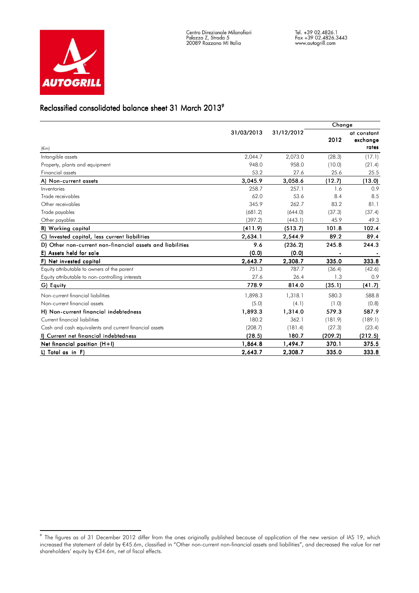

# Reclassified consolidated balance sheet 31 March 2013 $^{\circ}$

|                                                           |            |            | Change  |                         |
|-----------------------------------------------------------|------------|------------|---------|-------------------------|
|                                                           | 31/03/2013 | 31/12/2012 | 2012    | at constant<br>exchange |
| $(\epsilon m)$                                            |            |            |         | rates                   |
| Intangible assets                                         | 2,044.7    | 2,073.0    | (28.3)  | (17.1)                  |
| Property, plants and equipment                            | 948.0      | 958.0      | (10.0)  | (21.4)                  |
| <b>Financial assets</b>                                   | 53.2       | 27.6       | 25.6    | 25.5                    |
| A) Non-current assets                                     | 3,045.9    | 3,058.6    | (12.7)  | (13.0)                  |
| Inventories                                               | 258.7      | 257.1      | 1.6     | 0.9                     |
| Trade receivables                                         | 62.0       | 53.6       | 8.4     | 8.5                     |
| Other receivables                                         | 345.9      | 262.7      | 83.2    | 81.1                    |
| Trade payables                                            | (681.2)    | (644.0)    | (37.3)  | (37.4)                  |
| Other payables                                            | (397.2)    | (443.1)    | 45.9    | 49.3                    |
| <b>B)</b> Working capital                                 | (411.9)    | (513.7)    | 101.8   | 102.4                   |
| C) Invested capital, less current liabilities             | 2,634.1    | 2,544.9    | 89.2    | 89.4                    |
| D) Other non-current non-financial assets and liabilities | 9.6        | (236.2)    | 245.8   | 244.3                   |
| E) Assets held for sale                                   | (0, 0)     | (0, 0)     |         |                         |
| F) Net invested capital                                   | 2,643.7    | 2,308.7    | 335.0   | 333.8                   |
| Equity attributable to owners of the parent               | 751.3      | 787.7      | (36.4)  | (42.6)                  |
| Equity attributable to non-controlling interests          | 27.6       | 26.4       | 1.3     | 0.9                     |
| G) Equity                                                 | 778.9      | 814.0      | (35,1)  | (41.7)                  |
| Non-current financial liabilities                         | 1,898.3    | 1,318.1    | 580.3   | 588.8                   |
| Non-current financial assets                              | (5.0)      | (4.1)      | (1.0)   | (0.8)                   |
| H) Non-current financial indebtedness                     | 1,893.3    | 1,314.0    | 579.3   | 587.9                   |
| Current financial liabilities                             | 180.2      | 362.1      | (181.9) | (189.1)                 |
| Cash and cash equivalents and current financial assets    | (208.7)    | (181.4)    | (27.3)  | (23.4)                  |
| I) Current net financial indebtedness                     | (28.5)     | 180.7      | (209.2) | (212.5)                 |
| Net financial position (H+I)                              | 1,864.8    | 1,494.7    | 370.1   | 375.5                   |
| L) Total as in F)                                         | 2,643.7    | 2,308.7    | 335.0   | 333.8                   |

9 The figures as of 31 December 2012 differ from the ones originally published because of application of the new version of IAS 19, which increased the statement of debt by €45.6m, classified in "Other non-current non-financial assets and liabilities", and decreased the value for net shareholders' equity by €34.6m, net of fiscal effects.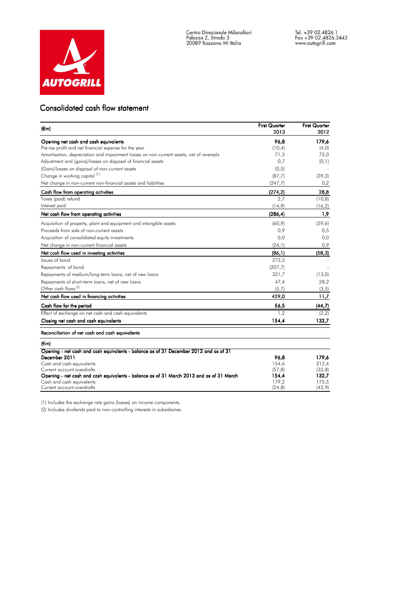

#### Consolidated cash flow statement

| $(\epsilon_{m})$                                                                                                       | <b>First Quarter</b><br>2013 | <b>First Quarter</b><br>2012 |
|------------------------------------------------------------------------------------------------------------------------|------------------------------|------------------------------|
| Opening net cash and cash equivalents                                                                                  | 96.8                         | 179.6                        |
| Pre-tax profit and net financial expense for the year                                                                  | (10, 4)                      | (4, 0)                       |
| Amortisation, depreciation and impairment losses on non-current assets, net of reversals                               | 71,3                         | 72,0                         |
| Adjustment and (gains)/losses on disposal of financial assets                                                          | 0,7                          | (0,1)                        |
| (Gain)/losses on disposal of non-current assets                                                                        | (0,5)                        |                              |
| Change in working capital <sup>(1)</sup>                                                                               | (87,7)                       | (39,3)                       |
| Net change in non-current non-financial assets and liabilities                                                         | (247,7)                      | 0,2                          |
| Cash flow from operating activities                                                                                    | (274, 2)                     | 28,8                         |
| Taxes (paid) refund                                                                                                    | 2.7                          | (10, 8)                      |
| Interest paid                                                                                                          | (14, 9)                      | (16, 2)                      |
| Net cash flow from operating activities                                                                                | (286, 4)                     | 1,9                          |
| Acquisition of property, plant and equipment and intangible assets                                                     | (60, 9)                      | (59, 6)                      |
| Proceeds from sale of non-current assets                                                                               | 0,9                          | 0,5                          |
| Acquisition of consolidated equity investments                                                                         | 0,0                          | 0,0                          |
| Net change in non-current financial assets                                                                             | (26,1)                       | 0,9                          |
| Net cash flow used in investing activities                                                                             | (86,1)                       | (58, 3)                      |
| Issues of bond                                                                                                         | 273,3                        |                              |
| Repayments of bond                                                                                                     | (207, 7)                     |                              |
| Repayments of medium/long-term loans, net of new loans                                                                 | 321,7                        | (13,0)                       |
| Repayments of short-term loans, net of new loans                                                                       | 47,4                         | 28,2                         |
| Other cash flows <sup>(2)</sup>                                                                                        | (5,7)                        | (3,5)                        |
| Net cash flow used in financing activities                                                                             | 429,0                        | 11,7                         |
| Cash flow for the period                                                                                               | 56,5                         | (44,7)                       |
| Effect of exchange on net cash and cash equivalents                                                                    | 1,2                          | (2,2)                        |
| Closing net cash and cash equivalents                                                                                  | 154,4                        | 132,7                        |
| Reconciliation of net cash and cash equivalents                                                                        |                              |                              |
| (€m)                                                                                                                   |                              |                              |
| Opening - net cash and cash equivalents - balance as of 31 December 2012 and as of 31                                  |                              |                              |
| December 2011                                                                                                          | 96.8                         | 179,6                        |
| Cash and cash equivalents                                                                                              | 154,6                        | 212,4                        |
| Current account overdrafts<br>Opening - net cash and cash equivalents - balance as of 31 March 2013 and as of 31 March | (57, 8)<br>154,4             | (32,8)<br>132,7              |
| Cash and cash equivalents                                                                                              | 179,2                        | 175,5                        |
| Current account overdrafts                                                                                             | (24, 8)                      | (42, 9)                      |

(1) Includes the exchange rate gains (losses) on income components.

(2) Includes dividends paid to non-controlling interests in subsidiaries.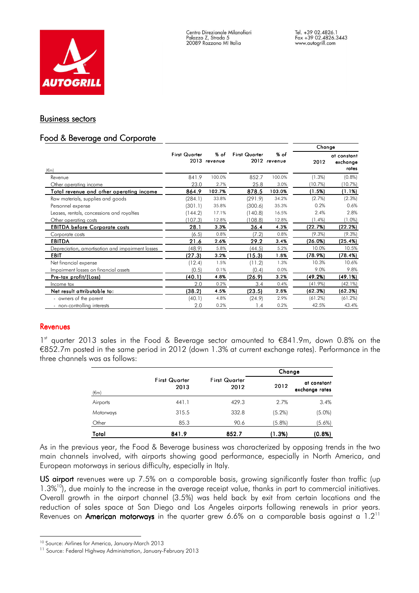

## Business sectors

# Food & Beverage and Corporate

|                                                  |                      |                      |                      |                      | Change     |                                  |
|--------------------------------------------------|----------------------|----------------------|----------------------|----------------------|------------|----------------------------------|
| $(\epsilon$ m)                                   | <b>First Quarter</b> | % of<br>2013 revenue | <b>First Quarter</b> | % of<br>2012 revenue | 2012       | at constant<br>exchange<br>rates |
| Revenue                                          | 841.9                | 100.0%               | 852.7                | 100.0%               | (1.3%)     | (0.8%                            |
| Other operating income                           | 23.0                 | 2.7%                 | 25.8                 | 3.0%                 | (10.7%)    | (10.7%)                          |
| Total revenue and other operating income         | 864.9                | 102.7%               | 878.5                | 103.0%               | (1.5%)     | (1.1%)                           |
| Raw materials, supplies and goods                | (284.1)              | 33.8%                | (291.9)              | 34.2%                | (2.7%)     | (2.3%)                           |
| Personnel expense                                | (301.1)              | 35.8%                | (300.6)              | 35.3%                | 0.2%       | 0.6%                             |
| Leases, rentals, concessions and royalties       | (144.2)              | 17.1%                | (140.8)              | 16.5%                | 2.4%       | 2.8%                             |
| Other operating costs                            | (107.3)              | 12.8%                | (108.8)              | 12.8%                | $(1.4\%)$  | (1.0%)                           |
| <b>EBITDA before Corporate costs</b>             | 28.1                 | 3.3%                 | 36.4                 | 4.3%                 | (22.7%)    | (22.2%)                          |
| Corporate costs                                  | (6.5)                | 0.8%                 | (7.2)                | 0.8%                 | (9.3%)     | (9.3%)                           |
| <b>EBITDA</b>                                    | 21.6                 | 2.6%                 | 29.2                 | 3.4%                 | (26.0%)    | (25.4%)                          |
| Depreciation, amortisation and impairment losses | (48.9)               | 5.8%                 | (44.5)               | 5.2%                 | 10.0%      | 10.5%                            |
| <b>EBIT</b>                                      | (27.3)               | 3.2%                 | (15.3)               | 1.8%                 | (78.9%)    | (78.4%)                          |
| Net financial expense                            | (12.4)               | 1.5%                 | (11.2)               | 1.3%                 | 10.3%      | 10.6%                            |
| Impairment losses on financial assets            | (0.5)                | 0.1%                 | (0.4)                | 0.0%                 | 9.0%       | 9.8%                             |
| Pre-tax profit/(Loss)                            | (40.1)               | 4.8%                 | (26.9)               | 3.2%                 | (49.2%)    | (49.1%)                          |
| Income tax                                       | 2.0                  | 0.2%                 | 3.4                  | 0.4%                 | $(41.9\%)$ | (42.1%)                          |
| Net result attributable to:                      | (38.2)               | 4.5%                 | (23.5)               | 2.8%                 | (62.3%)    | (62.3%)                          |
| - owners of the parent                           | (40.1)               | 4.8%                 | (24.9)               | 2.9%                 | (61.2%)    | (61.2%)                          |
| - non-controlling interests                      | 2.0                  | 0.2%                 | 1.4                  | 0.2%                 | 42.5%      | 43.4%                            |

## Revenues

1<sup>st</sup> quarter 2013 sales in the Food & Beverage sector amounted to €841.9m, down 0.8% on the €852.7m posted in the same period in 2012 (down 1.3% at current exchange rates). Performance in the three channels was as follows:

|                |                              |                              | Change    |                               |
|----------------|------------------------------|------------------------------|-----------|-------------------------------|
| $(\epsilon m)$ | <b>First Quarter</b><br>2013 | <b>First Quarter</b><br>2012 | 2012      | at constant<br>exchange rates |
| Airports       | 441.1                        | 429.3                        | 2.7%      | 3.4%                          |
| Motorways      | 315.5                        | 332.8                        | $(5.2\%)$ | $(5.0\%)$                     |
| Other          | 85.3                         | 90.6                         | $(5.8\%)$ | $(5.6\%)$                     |
| Total          | 841.9                        | 852.7                        | (1.3%)    | (0.8%)                        |

As in the previous year, the Food & Beverage business was characterized by opposing trends in the two main channels involved, with airports showing good performance, especially in North America, and European motorways in serious difficulty, especially in Italy.

US airport revenues were up 7.5% on a comparable basis, growing significantly faster than traffic (up  $1.3\%$ <sup>10</sup>), due mainly to the increase in the average receipt value, thanks in part to commercial initiatives. Overall growth in the airport channel (3.5%) was held back by exit from certain locations and the reduction of sales space at San Diego and Los Angeles airports following renewals in prior years. Revenues on American motorways in the quarter grew 6.6% on a comparable basis against a  $1.2<sup>11</sup>$ 

i <sup>10</sup> Source: Airlines for America, January-March 2013

<sup>&</sup>lt;sup>11</sup> Source: Federal Highway Administration, January-February 2013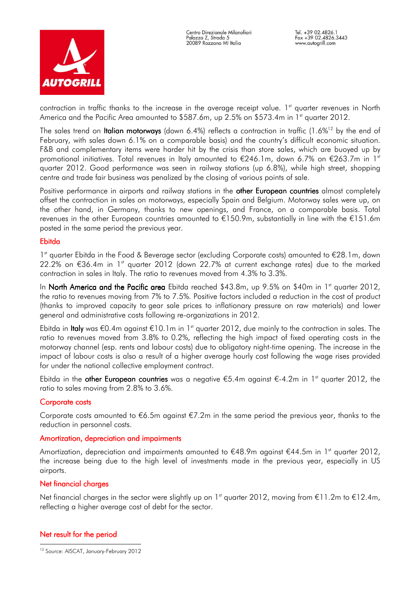

contraction in traffic thanks to the increase in the average receipt value. 1<sup>st</sup> quarter revenues in North America and the Pacific Area amounted to \$587.6m, up 2.5% on \$573.4m in 1st quarter 2012.

The sales trend on **Italian motorways** (down 6.4%) reflects a contraction in traffic (1.6%<sup>12</sup> by the end of February, with sales down 6.1% on a comparable basis) and the country's difficult economic situation. F&B and complementary items were harder hit by the crisis than store sales, which are buoyed up by promotional initiatives. Total revenues in Italy amounted to  $\epsilon$ 246.1m, down 6.7% on  $\epsilon$ 263.7m in 1<sup>st</sup> quarter 2012. Good performance was seen in railway stations (up 6.8%), while high street, shopping centre and trade fair business was penalized by the closing of various points of sale.

Positive performance in airports and railway stations in the other European countries almost completely offset the contraction in sales on motorways, especially Spain and Belgium. Motorway sales were up, on the other hand, in Germany, thanks to new openings, and France, on a comparable basis. Total revenues in the other European countries amounted to €150.9m, substantially in line with the €151.6m posted in the same period the previous year.

## Ebitda

1<sup>st</sup> quarter Ebitda in the Food & Beverage sector (excluding Corporate costs) amounted to €28.1m, down 22.2% on €36.4m in 1st quarter 2012 (down 22.7% at current exchange rates) due to the marked contraction in sales in Italy. The ratio to revenues moved from 4.3% to 3.3%.

In North America and the Pacific area Ebitda reached \$43.8m, up 9.5% on \$40m in 1st quarter 2012, the ratio to revenues moving from 7% to 7.5%. Positive factors included a reduction in the cost of product (thanks to improved capacity to gear sale prices to inflationary pressure on raw materials) and lower general and administrative costs following re-organizations in 2012.

Ebitda in Italy was €0.4m against €10.1m in 1<sup>st</sup> quarter 2012, due mainly to the contraction in sales. The ratio to revenues moved from 3.8% to 0.2%, reflecting the high impact of fixed operating costs in the motorway channel (esp. rents and labour costs) due to obligatory night-time opening. The increase in the impact of labour costs is also a result of a higher average hourly cost following the wage rises provided for under the national collective employment contract.

Ebitda in the other European countries was a negative  $\epsilon$ 5.4m against  $\epsilon$ -4.2m in 1<sup>st</sup> quarter 2012, the ratio to sales moving from 2.8% to 3.6%.

## Corporate costs

Corporate costs amounted to €6.5m against €7.2m in the same period the previous year, thanks to the reduction in personnel costs.

#### Amortization, depreciation and impairments

Amortization, depreciation and impairments amounted to  $E48.9m$  against  $E44.5m$  in 1<sup>st</sup> quarter 2012, the increase being due to the high level of investments made in the previous year, especially in US airports.

## Net financial charges

Net financial charges in the sector were slightly up on 1<sup>st</sup> quarter 2012, moving from €11.2m to €12.4m, reflecting a higher average cost of debt for the sector.

## Net result for the period

i <sup>12</sup> Source: AISCAT, January-February 2012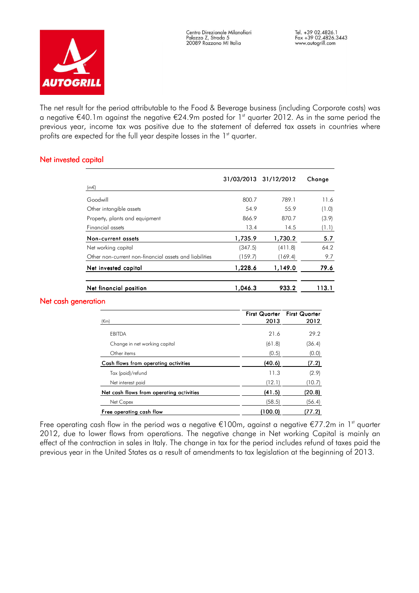

The net result for the period attributable to the Food & Beverage business (including Corporate costs) was a negative €40.1m against the negative €24.9m posted for 1<sup>st</sup> quarter 2012. As in the same period the previous year, income tax was positive due to the statement of deferred tax assets in countries where profits are expected for the full year despite losses in the  $1<sup>st</sup>$  quarter.

## Net invested capital

|                                                        |         | 31/03/2013 31/12/2012 | Change |
|--------------------------------------------------------|---------|-----------------------|--------|
| $(m \in)$                                              |         |                       |        |
| Goodwill                                               | 800.7   | 789.1                 | 11.6   |
| Other intangible assets                                | 54.9    | 55.9                  | (1.0)  |
| Property, plants and equipment                         | 866.9   | 870.7                 | (3.9)  |
| Financial assets                                       | 13.4    | 14.5                  | (1.1)  |
| Non-current assets                                     | 1,735.9 | 1,730.2               | 5.7    |
| Net working capital                                    | (347.5) | (411.8)               | 64.2   |
| Other non-current non-financial assets and liabilities | (159.7) | (169.4)               | 9.7    |
| Net invested capital                                   | 1,228.6 | 1,149.0               | 79.6   |
| Net financial position                                 | 1.046.3 | 933.2                 | 113.1  |

#### Net cash generation

| $(\epsilon m)$                           | 2013    | First Quarter First Quarter<br>2012 |
|------------------------------------------|---------|-------------------------------------|
| EBITDA                                   | 21.6    | 29.2                                |
| Change in net working capital            | (61.8)  | (36.4)                              |
| Other items                              | (0.5)   | (0.0)                               |
| Cash flows from operating activities     | (40.6)  | (7.2)                               |
| Tax (paid)/refund                        | 11.3    | (2.9)                               |
| Net interest paid                        | (12.1)  | (10.7)                              |
| Net cash flows from operating activities | (41.5)  | (20.8)                              |
| Net Capex                                | (58.5)  | (56.4)                              |
| Free operating cash flow                 | (100.0) | (77.2)                              |

Free operating cash flow in the period was a negative  $\epsilon$ 100m, against a negative  $\epsilon$ 77.2m in 1<sup>st</sup> quarter 2012, due to lower flows from operations. The negative change in Net working Capital is mainly an effect of the contraction in sales in Italy. The change in tax for the period includes refund of taxes paid the previous year in the United States as a result of amendments to tax legislation at the beginning of 2013.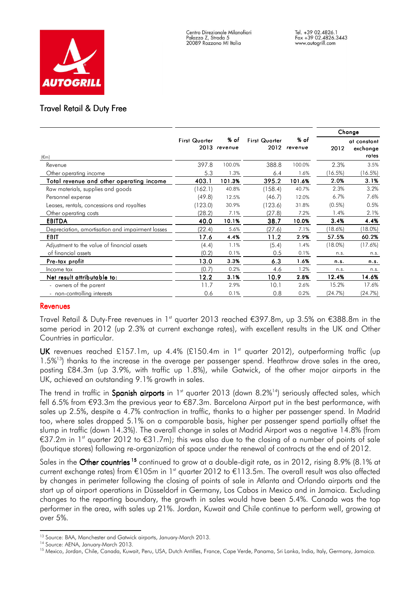

## **Travel Retail & Duty Free**

|                                                  |                      |                      |                              |                 |            | Change                           |
|--------------------------------------------------|----------------------|----------------------|------------------------------|-----------------|------------|----------------------------------|
| $(\epsilon m)$                                   | <b>First Quarter</b> | % of<br>2013 revenue | <b>First Quarter</b><br>2012 | % of<br>revenue | 2012       | at constant<br>exchange<br>rates |
| Revenue                                          | 397.8                | 100.0%               | 388.8                        | 100.0%          | 2.3%       | 3.5%                             |
| Other operating income                           | 5.3                  | 1.3%                 | 6.4                          | 1.6%            | (16.5%)    | (16.5%)                          |
| Total revenue and other operating income         | 403.1                | 101.3%               | 395.2                        | 101.6%          | 2.0%       | 3.1%                             |
| Raw materials, supplies and goods                | (162.1)              | 40.8%                | (158.4)                      | 40.7%           | 2.3%       | 3.2%                             |
| Personnel expense                                | (49.8)               | 12.5%                | (46.7)                       | 12.0%           | 6.7%       | 7.6%                             |
| Leases, rentals, concessions and royalties       | 123.0                | 30.9%                | (123.6)                      | 31.8%           | $(0.5\%)$  | 0.5%                             |
| Other operating costs                            | (28.2)               | 7.1%                 | (27.8)                       | 7.2%            | 1.4%       | 2.1%                             |
| <b>EBITDA</b>                                    | 40.0                 | 10.1%                | 38.7                         | 10.0%           | 3.4%       | 4.4%                             |
| Depreciation, amortisation and impairment losses | (22.4)               | 5.6%                 | (27.6)                       | 7.1%            | $18.6\%$   | $18.0\%$                         |
| <b>EBIT</b>                                      | 17.6                 | 4.4%                 | 11.2                         | 2.9%            | 57.5%      | 60.2%                            |
| Adjustment to the value of financial assets      | (4.4)                | 1.1%                 | (5.4)                        | 1.4%            | $(18.0\%)$ | (17.6%)                          |
| of financial assets                              | (0.2)                | 0.1%                 | 0.5                          | 0.1%            | n.s.       | n.s.                             |
| Pre-tax profit                                   | 13.0                 | 3.3%                 | 6.3                          | 1.6%            | n.s.       | n.s.                             |
| Income tax                                       | (0.7)                | 0.2%                 | 4.6                          | 1.2%            | n.s.       | n.s.                             |
| Net result attributable to:                      | 12.2                 | 3.1%                 | 10.9                         | 2.8%            | 12.4%      | 14.6%                            |
| - owners of the parent                           | 11.7                 | 2.9%                 | 10.1                         | 2.6%            | 15.2%      | 17.6%                            |
| - non-controlling interests                      | 0.6                  | 0.1%                 | 0.8                          | 0.2%            | (24.7%)    | (24.7%)                          |

#### Revenues

Travel Retail & Duty-Free revenues in 1<sup>st</sup> quarter 2013 reached €397.8m, up 3.5% on €388.8m in the same period in 2012 (up 2.3% at current exchange rates), with excellent results in the UK and Other Countries in particular.

UK revenues reached £157.1m, up 4.4% (£150.4m in 1<sup>st</sup> quarter 2012), outperforming traffic (up  $1.5\%$ <sup>13</sup>) thanks to the increase in the average per passenger spend. Heathrow drove sales in the area, posting £84.3m (up 3.9%, with traffic up 1.8%), while Gatwick, of the other major airports in the UK, achieved an outstanding 9.1% growth in sales.

The trend in traffic in Spanish airports in  $1<sup>st</sup>$  quarter 2013 (down 8.2%<sup>14</sup>) seriously affected sales, which fell 6.5% from €93.3m the previous year to €87.3m. Barcelona Airport put in the best performance, with sales up 2.5%, despite a 4.7% contraction in traffic, thanks to a higher per passenger spend. In Madrid too, where sales dropped 5.1% on a comparable basis, higher per passenger spend partially offset the slump in traffic (down 14.3%). The overall change in sales at Madrid Airport was a negative 14.8% (from €37.2m in 1<sup>st</sup> quarter 2012 to €31.7m); this was also due to the closing of a number of points of sale (boutique stores) following re-organization of space under the renewal of contracts at the end of 2012.

Sales in the Other countries<sup>15</sup> continued to grow at a double-digit rate, as in 2012, rising 8.9% (8.1% at current exchange rates) from €105m in 1<sup>st</sup> quarter 2012 to €113.5m. The overall result was also affected by changes in perimeter following the closing of points of sale in Atlanta and Orlando airports and the start up of airport operations in Düsseldorf in Germany, Los Cabos in Mexico and in Jamaica. Excluding changes to the reporting boundary, the growth in sales would have been 5.4%. Canada was the top performer in the area, with sales up 21%. Jordan, Kuwait and Chile continue to perform well, growing at over 5%.

i <sup>13</sup> Source: BAA, Manchester and Gatwick airports, January-March 2013.

<sup>&</sup>lt;sup>14</sup> Source: AENA, January-March 2013.

<sup>&</sup>lt;sup>15</sup> Mexico, Jordan, Chile, Canada, Kuwait, Peru, USA, Dutch Antilles, France, Cape Verde, Panama, Sri Lanka, India, Italy, Germany, Jamaica.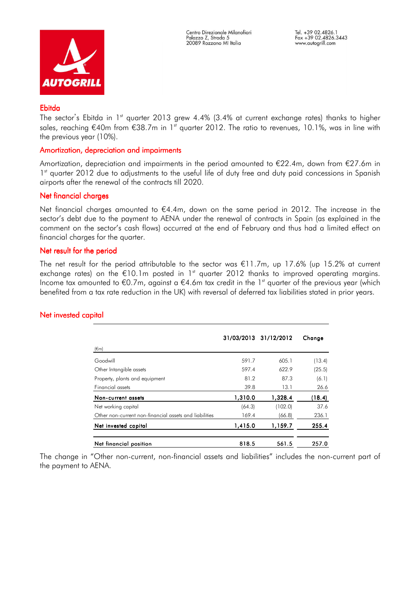

## Ebitda

The sector's Ebitda in 1<sup>st</sup> quarter 2013 grew 4.4% (3.4% at current exchange rates) thanks to higher sales, reaching  $\epsilon$ 40m from  $\epsilon$ 38.7m in 1<sup>st</sup> quarter 2012. The ratio to revenues, 10.1%, was in line with the previous year (10%).

## Amortization, depreciation and impairments

Amortization, depreciation and impairments in the period amounted to  $\epsilon$ 22.4m, down from  $\epsilon$ 27.6m in 1<sup>st</sup> quarter 2012 due to adjustments to the useful life of duty free and duty paid concessions in Spanish airports after the renewal of the contracts till 2020.

## Net financial charges

Net financial charges amounted to €4.4m, down on the same period in 2012. The increase in the sector's debt due to the payment to AENA under the renewal of contracts in Spain (as explained in the comment on the sector's cash flows) occurred at the end of February and thus had a limited effect on financial charges for the quarter.

## Net result for the period

The net result for the period attributable to the sector was  $\epsilon$ 11.7m, up 17.6% (up 15.2% at current exchange rates) on the  $\epsilon$ 10.1m posted in 1<sup>st</sup> quarter 2012 thanks to improved operating margins. Income tax amounted to  $\epsilon$ 0.7m, against a  $\epsilon$ 4.6m tax credit in the 1<sup>st</sup> quarter of the previous year (which benefited from a tax rate reduction in the UK) with reversal of deferred tax liabilities stated in prior years.

# Net invested capital

| (€m)                                                   |         | 31/03/2013 31/12/2012 | Change |
|--------------------------------------------------------|---------|-----------------------|--------|
| Goodwill                                               | 591.7   | 605.1                 | (13.4) |
| Other Intangible assets                                | 597.4   | 622.9                 | (25.5) |
| Property, plants and equipment                         | 81.2    | 87.3                  | (6.1)  |
| Financial assets                                       | 39.8    | 13.1                  | 26.6   |
| Non-current assets                                     | 1,310.0 | 1,328.4               | (18.4) |
| Net working capital                                    | (64.3)  | (102.0)               | 37.6   |
| Other non-current non-financial assets and liabilities | 169.4   | (66.8)                | 236.1  |
| Net invested capital                                   | 1,415.0 | 1,159.7               | 255.4  |
| Net financial position                                 | 818.5   | 561.5                 | 257.0  |

The change in "Other non-current, non-financial assets and liabilities" includes the non-current part of the payment to AENA.